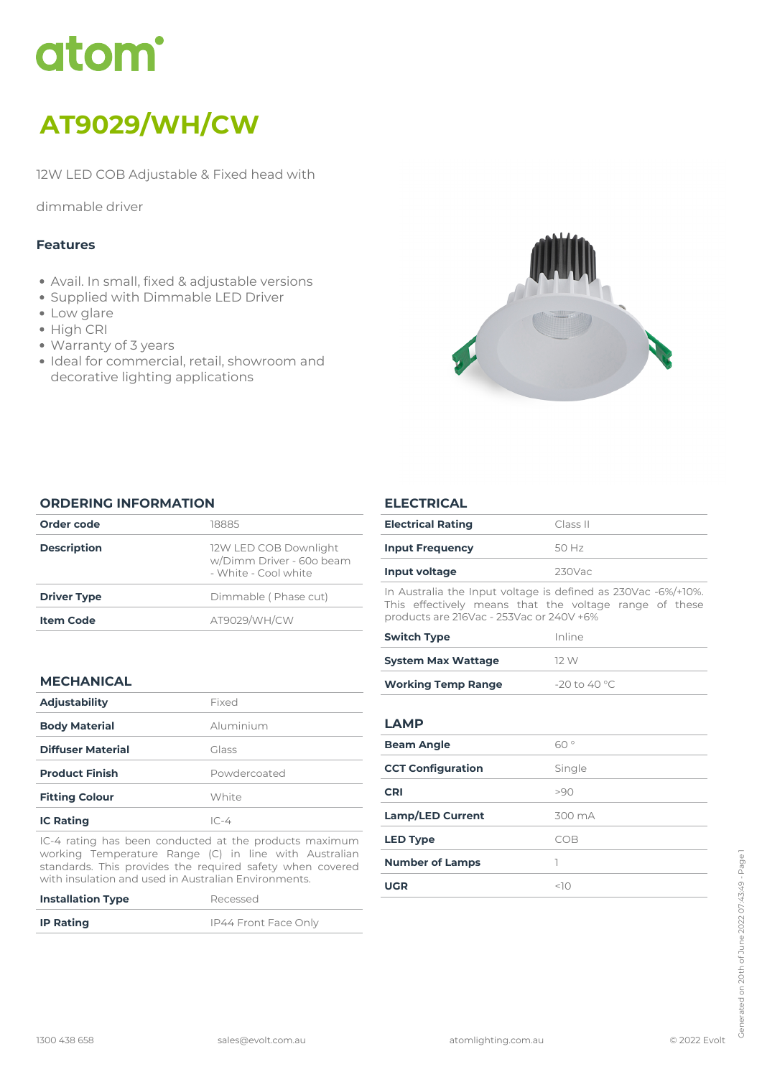# atom<sup>\*</sup>

### *AT9029/WH/CW*

*12W LED COB Adjustable & Fixed head with*

*dimmable driver*

#### *Features*

- *Avail. In small, fixed & adjustable versions*
- *Supplied with Dimmable LED Driver*
- *Low glare*
- *High CRI*
- *Warranty of 3 years*
- *Ideal for commercial, retail, showroom and decorative lighting applications*



#### *ORDERING INFORMATION*

| Order code         | 18885                                                                     |
|--------------------|---------------------------------------------------------------------------|
| <b>Description</b> | 12W LED COB Downlight<br>w/Dimm Driver - 60o beam<br>- White - Cool white |
| <b>Driver Type</b> | Dimmable (Phase cut)                                                      |
| <b>Item Code</b>   | AT9029/WH/CW                                                              |
|                    |                                                                           |

#### *MECHANICAL*

| <b>Adjustability</b>     | Fixed        |
|--------------------------|--------------|
| <b>Body Material</b>     | Aluminium    |
| <b>Diffuser Material</b> | Glass        |
| <b>Product Finish</b>    | Powdercoated |
| <b>Fitting Colour</b>    | White        |
| <b>IC Rating</b>         | $IC-4$       |

*IC-4 rating has been conducted at the products maximum working Temperature Range (C) in line with Australian standards. This provides the required safety when covered with insulation and used in Australian Environments.*

**Installation Type** *Recessed IP Rating IP44 Front Face Only*

#### *ELECTRICAL*

| <b>Electrical Rating</b>                 | Class II                                                                                                                |
|------------------------------------------|-------------------------------------------------------------------------------------------------------------------------|
| <b>Input Frequency</b>                   | 50 Hz                                                                                                                   |
| Input voltage                            | 230Vac                                                                                                                  |
| products are 216Vac - 253Vac or 240V +6% | In Australia the Input voltage is defined as 230Vac -6%/+10%.<br>This effectively means that the voltage range of these |

| <b>Switch Type</b>        | Inline          |
|---------------------------|-----------------|
| <b>System Max Wattage</b> | 12 W            |
| <b>Working Temp Range</b> | $-20$ to 40 °C. |

#### *LAMP*

| <b>Beam Angle</b>        | 60°    |
|--------------------------|--------|
| <b>CCT Configuration</b> | Single |
| <b>CRI</b>               | >90    |
| <b>Lamp/LED Current</b>  | 300 mA |
| <b>LED Type</b>          | COB    |
| <b>Number of Lamps</b>   |        |
| <b>UGR</b>               | <10    |
|                          |        |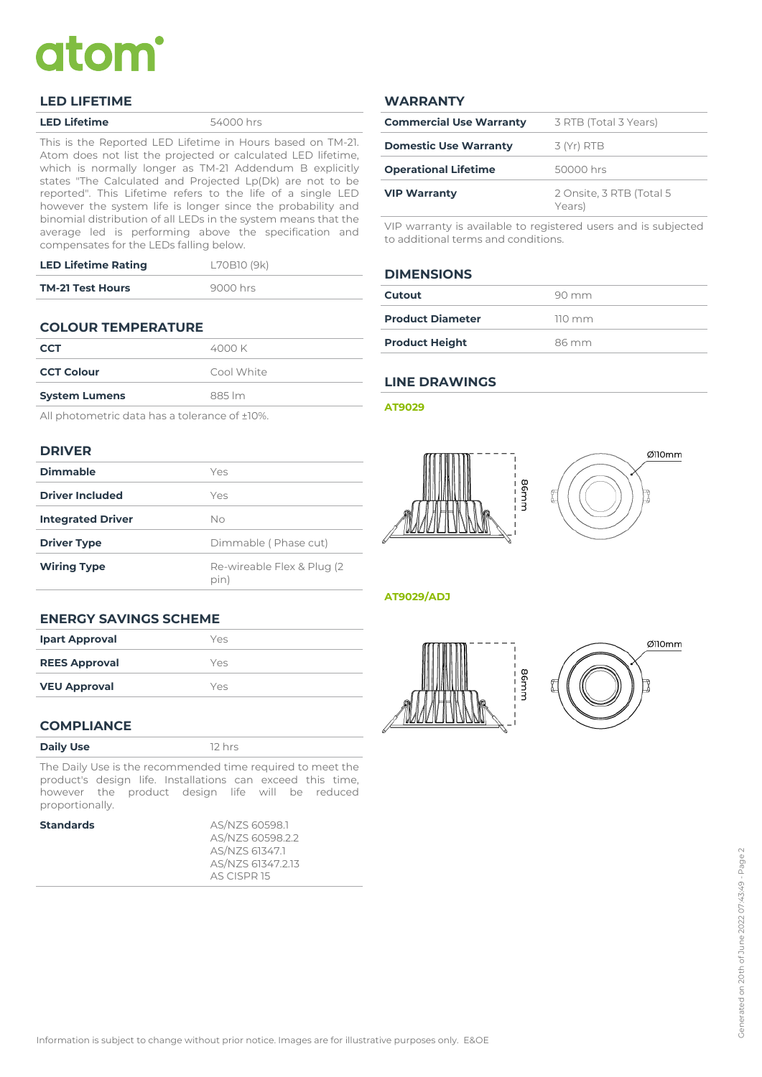## dtom

#### *LED LIFETIME*

| 54000 hrs |  |
|-----------|--|
|           |  |
|           |  |

*This is the Reported LED Lifetime in Hours based on TM-21. Atom does not list the projected or calculated LED lifetime, which is normally longer as TM-21 Addendum B explicitly states "The Calculated and Projected Lp(Dk) are not to be reported". This Lifetime refers to the life of a single LED however the system life is longer since the probability and binomial distribution of all LEDs in the system means that the average led is performing above the specification and compensates for the LEDs falling below.*

| <b>LED Lifetime Rating</b> | L70B10 (9k) |
|----------------------------|-------------|
| <b>TM-21 Test Hours</b>    | 9000 hrs    |

#### *COLOUR TEMPERATURE*

| <b>CCT</b>           | 4000 K     |
|----------------------|------------|
| <b>CCT Colour</b>    | Cool White |
| <b>System Lumens</b> | 885 lm     |
|                      |            |

*All photometric data has a tolerance of ±10%.*

#### *DRIVER*

| <b>Dimmable</b>          | Yes                                |
|--------------------------|------------------------------------|
| <b>Driver Included</b>   | Yes                                |
| <b>Integrated Driver</b> | No                                 |
| <b>Driver Type</b>       | Dimmable (Phase cut)               |
| <b>Wiring Type</b>       | Re-wireable Flex & Plug (2)<br>pin |

#### *WARRANTY*

| <b>Commercial Use Warranty</b> | 3 RTB (Total 3 Years)              |
|--------------------------------|------------------------------------|
| <b>Domestic Use Warranty</b>   | $3 (Yr)$ RTB                       |
| <b>Operational Lifetime</b>    | 50000 hrs                          |
| <b>VIP Warranty</b>            | 2 Onsite, 3 RTB (Total 5<br>Years) |

*VIP warranty is available to registered users and is subjected to additional terms and conditions.*

#### *DIMENSIONS*

| Cutout                  | 90 mm            |
|-------------------------|------------------|
| <b>Product Diameter</b> | $110 \text{ mm}$ |
| <b>Product Height</b>   | 86 mm            |

#### *LINE DRAWINGS*

#### *AT9029*





#### *AT9029/ADJ*





### *Ipart Approval Yes*

*ENERGY SAVINGS SCHEME*

| <b>REES Approval</b> | Yes |  |
|----------------------|-----|--|
| <b>VEU Approval</b>  | Yes |  |
|                      |     |  |

#### *COMPLIANCE*

| <b>Daily Use</b> |  |
|------------------|--|
|------------------|--|

*The Daily Use is the recommended time required to meet the product's design life. Installations can exceed this time, however the product design life will be reduced proportionally.*

*Daily Use 12 hrs*

|  | Standard |  |
|--|----------|--|
|  |          |  |

*Standards AS/NZS 60598.1 AS/NZS 60598.2.2 AS/NZS 61347.1 AS/NZS 61347.2.13 AS CISPR 15*